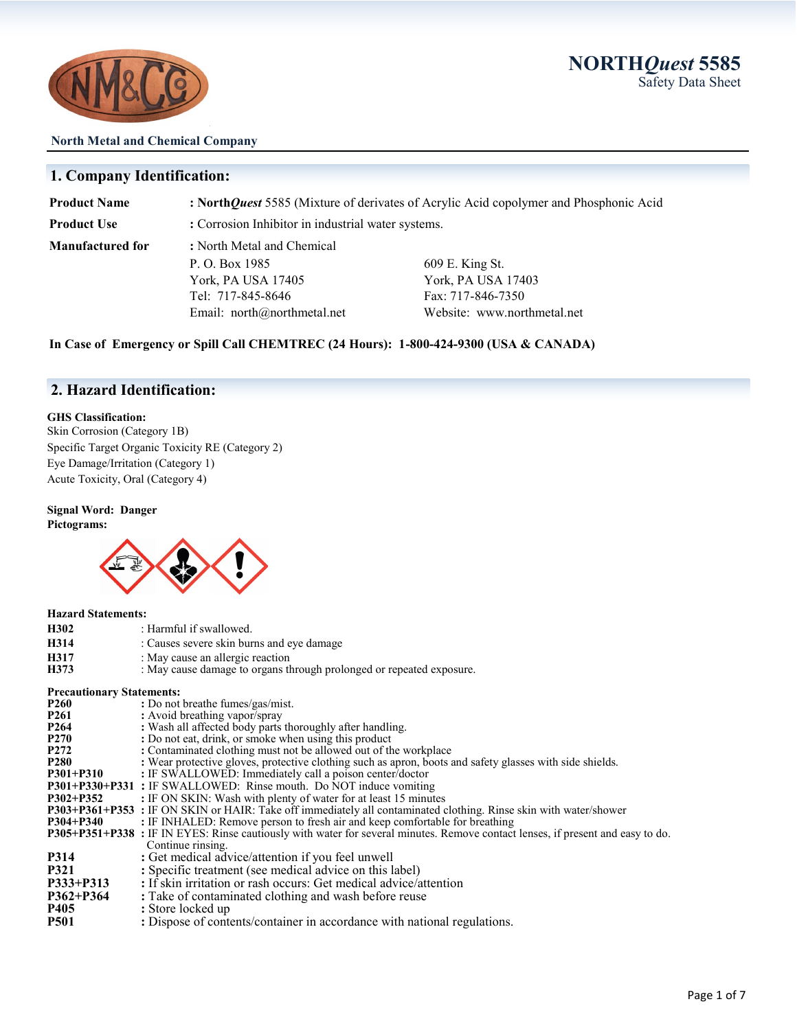**NORTH***Quest* **5585**  Safety Data Sheet



#### **North Metal and Chemical Company**

### **1. Company Identification:**

| <b>Product Name</b> | : North Quest 5585 (Mixture of derivates of Acrylic Acid copolymer and Phosphonic Acid |                             |  |
|---------------------|----------------------------------------------------------------------------------------|-----------------------------|--|
| Product Use         | : Corrosion Inhibitor in industrial water systems.                                     |                             |  |
| Manufactured for    | : North Metal and Chemical                                                             |                             |  |
|                     | P. O. Box 1985                                                                         | 609 E. King St.             |  |
|                     | York, PA USA 17405                                                                     | York, PA USA 17403          |  |
|                     | Tel: 717-845-8646                                                                      | Fax: 717-846-7350           |  |
|                     | Email: north@northmetal.net                                                            | Website: www.northmetal.net |  |

**In Case of Emergency or Spill Call CHEMTREC (24 Hours): 1-800-424-9300 (USA & CANADA)**

### **2. Hazard Identification:**

#### **GHS Classification:**

Skin Corrosion (Category 1B) Specific Target Organic Toxicity RE (Category 2) Eye Damage/Irritation (Category 1) Acute Toxicity, Oral (Category 4)

# **Signal Word: Danger**

**Pictograms:** 



| <b>Hazard Statements:</b>        |                                                                                                                                 |
|----------------------------------|---------------------------------------------------------------------------------------------------------------------------------|
| H302                             | : Harmful if swallowed.                                                                                                         |
| H314                             | : Causes severe skin burns and eye damage                                                                                       |
| H317                             | : May cause an allergic reaction                                                                                                |
| H373                             | : May cause damage to organs through prolonged or repeated exposure.                                                            |
| <b>Precautionary Statements:</b> |                                                                                                                                 |
| P260                             | : Do not breathe fumes/gas/mist.                                                                                                |
| P261                             | : Avoid breathing vapor/spray                                                                                                   |
| P264                             | : Wash all affected body parts thoroughly after handling.                                                                       |
| P270                             | : Do not eat, drink, or smoke when using this product                                                                           |
| P272                             | : Contaminated clothing must not be allowed out of the workplace                                                                |
| P <sub>280</sub>                 | : Wear protective gloves, protective clothing such as apron, boots and safety glasses with side shields.                        |
| P301+P310                        | : IF SWALLOWED: Immediately call a poison center/doctor                                                                         |
|                                  | P301+P330+P331 : IF SWALLOWED: Rinse mouth. Do NOT induce vomiting                                                              |
| P302+P352                        | : IF ON SKIN: Wash with plenty of water for at least 15 minutes                                                                 |
|                                  | <b>P303+P361+P353</b> : IF ON SKIN or HAIR: Take off immediately all contaminated clothing. Rinse skin with water/shower        |
| P304+P340                        | : IF INHALED: Remove person to fresh air and keep comfortable for breathing                                                     |
|                                  | P305+P351+P338 : IF IN EYES: Rinse cautiously with water for several minutes. Remove contact lenses, if present and easy to do. |
|                                  | Continue rinsing.                                                                                                               |
| P314                             | : Get medical advice/attention if you feel unwell                                                                               |
| P321                             | : Specific treatment (see medical advice on this label)                                                                         |
| P333+P313                        | : If skin irritation or rash occurs: Get medical advice/attention                                                               |
| P362+P364                        | : Take of contaminated clothing and wash before reuse                                                                           |
| P405                             | : Store locked up                                                                                                               |
| P501                             | : Dispose of contents/container in accordance with national regulations.                                                        |
|                                  |                                                                                                                                 |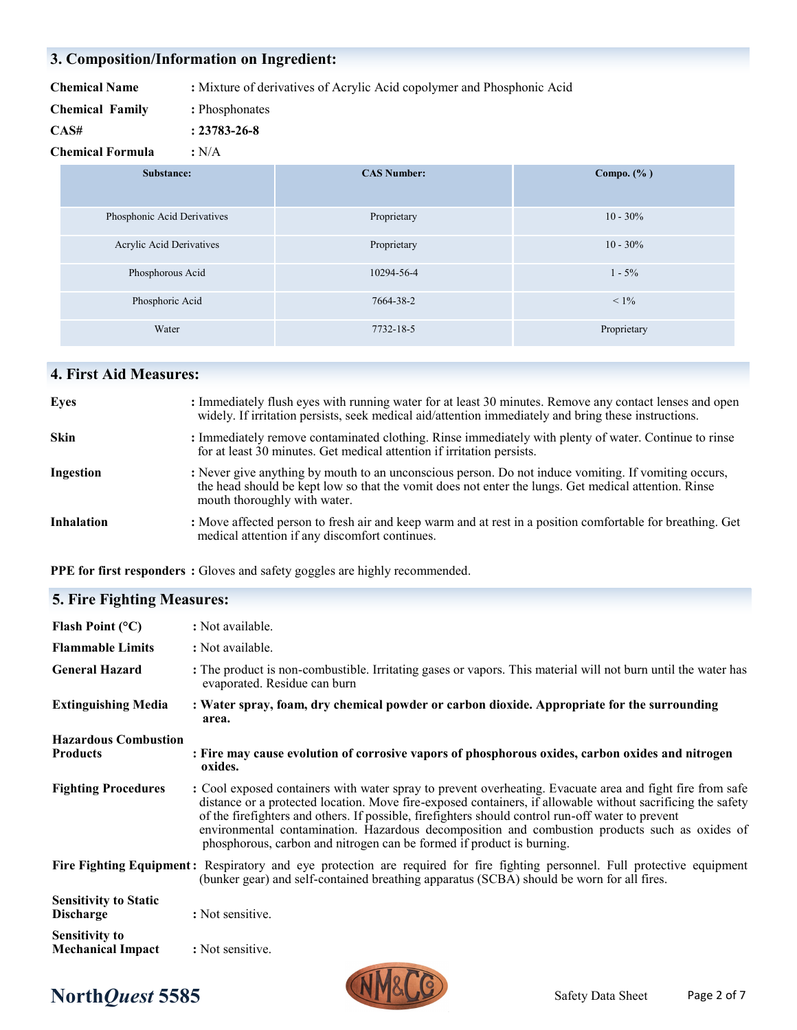# **3. Composition/Information on Ingredient:**

| <b>Chemical Name</b> |  | : Mixture of derivatives of Acrylic Acid copolymer and Phosphonic Acid |  |  |
|----------------------|--|------------------------------------------------------------------------|--|--|
|                      |  |                                                                        |  |  |

- **Chemical Family :** Phosphonates
- **CAS# : 23783-26-8**

**Chemical Formula :** N/A

| Substance:                  | <b>CAS Number:</b> | Compo. $(\% )$ |
|-----------------------------|--------------------|----------------|
| Phosphonic Acid Derivatives | Proprietary        | $10 - 30\%$    |
| Acrylic Acid Derivatives    | Proprietary        | $10 - 30\%$    |
| Phosphorous Acid            | 10294-56-4         | $1 - 5\%$      |
| Phosphoric Acid             | 7664-38-2          | $< 1\%$        |
| Water                       | 7732-18-5          | Proprietary    |

# **4. First Aid Measures:**

| <b>Eyes</b>       | : Immediately flush eyes with running water for at least 30 minutes. Remove any contact lenses and open<br>widely. If irritation persists, seek medical aid/attention immediately and bring these instructions.                              |
|-------------------|----------------------------------------------------------------------------------------------------------------------------------------------------------------------------------------------------------------------------------------------|
| <b>Skin</b>       | : Immediately remove contaminated clothing. Rinse immediately with plenty of water. Continue to rinse<br>for at least 30 minutes. Get medical attention if irritation persists.                                                              |
| <b>Ingestion</b>  | : Never give anything by mouth to an unconscious person. Do not induce vomiting. If vomiting occurs,<br>the head should be kept low so that the vomit does not enter the lungs. Get medical attention. Rinse<br>mouth thoroughly with water. |
| <b>Inhalation</b> | : Move affected person to fresh air and keep warm and at rest in a position comfortable for breathing. Get<br>medical attention if any discomfort continues.                                                                                 |

**PPE for first responders :** Gloves and safety goggles are highly recommended.

### **5. Fire Fighting Measures:**

| Flash Point $(°C)$                                | : Not available.                                                                                                                                                                                                                                                                                                                                                                                                                                                                                         |
|---------------------------------------------------|----------------------------------------------------------------------------------------------------------------------------------------------------------------------------------------------------------------------------------------------------------------------------------------------------------------------------------------------------------------------------------------------------------------------------------------------------------------------------------------------------------|
| <b>Flammable Limits</b>                           | : Not available.                                                                                                                                                                                                                                                                                                                                                                                                                                                                                         |
| <b>General Hazard</b>                             | : The product is non-combustible. Irritating gases or vapors. This material will not burn until the water has<br>evaporated. Residue can burn                                                                                                                                                                                                                                                                                                                                                            |
| <b>Extinguishing Media</b>                        | : Water spray, foam, dry chemical powder or carbon dioxide. Appropriate for the surrounding<br>area.                                                                                                                                                                                                                                                                                                                                                                                                     |
| <b>Hazardous Combustion</b><br><b>Products</b>    | : Fire may cause evolution of corrosive vapors of phosphorous oxides, carbon oxides and nitrogen<br>oxides.                                                                                                                                                                                                                                                                                                                                                                                              |
| <b>Fighting Procedures</b>                        | : Cool exposed containers with water spray to prevent overheating. Evacuate area and fight fire from safe<br>distance or a protected location. Move fire-exposed containers, if allowable without sacrificing the safety<br>of the firefighters and others. If possible, firefighters should control run-off water to prevent<br>environmental contamination. Hazardous decomposition and combustion products such as oxides of<br>phosphorous, carbon and nitrogen can be formed if product is burning. |
|                                                   | Fire Fighting Equipment: Respiratory and eye protection are required for fire fighting personnel. Full protective equipment<br>(bunker gear) and self-contained breathing apparatus (SCBA) should be worn for all fires.                                                                                                                                                                                                                                                                                 |
| <b>Sensitivity to Static</b><br><b>Discharge</b>  | : Not sensitive.                                                                                                                                                                                                                                                                                                                                                                                                                                                                                         |
| <b>Sensitivity to</b><br><b>Mechanical Impact</b> | : Not sensitive.                                                                                                                                                                                                                                                                                                                                                                                                                                                                                         |

# **North***Quest* **5585** Safety Data Sheet

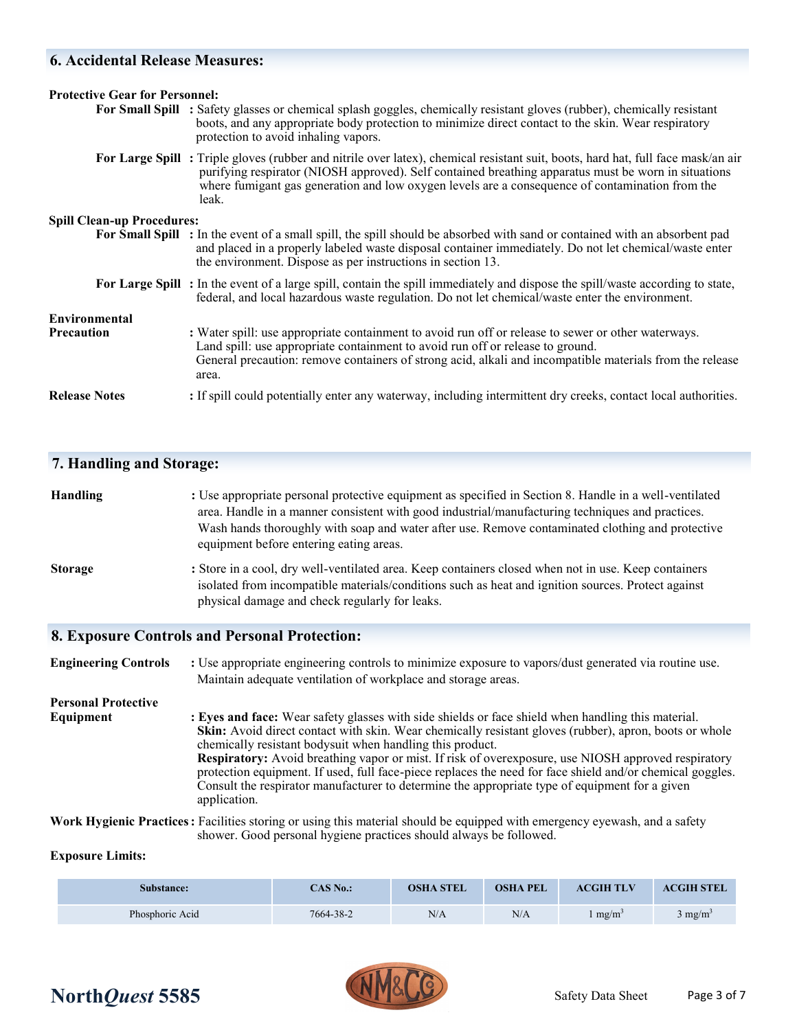### **6. Accidental Release Measures:**

| <b>Protective Gear for Personnel:</b> |                                                                                                                                                                                                                                                                                                                                                     |
|---------------------------------------|-----------------------------------------------------------------------------------------------------------------------------------------------------------------------------------------------------------------------------------------------------------------------------------------------------------------------------------------------------|
|                                       | For Small Spill : Safety glasses or chemical splash goggles, chemically resistant gloves (rubber), chemically resistant<br>boots, and any appropriate body protection to minimize direct contact to the skin. Wear respiratory<br>protection to avoid inhaling vapors.                                                                              |
|                                       | For Large Spill: Triple gloves (rubber and nitrile over latex), chemical resistant suit, boots, hard hat, full face mask/an air<br>purifying respirator (NIOSH approved). Self contained breathing apparatus must be worn in situations<br>where fumigant gas generation and low oxygen levels are a consequence of contamination from the<br>leak. |
| <b>Spill Clean-up Procedures:</b>     |                                                                                                                                                                                                                                                                                                                                                     |
|                                       | For Small Spill : In the event of a small spill, the spill should be absorbed with sand or contained with an absorbent pad<br>and placed in a properly labeled waste disposal container immediately. Do not let chemical/waste enter<br>the environment. Dispose as per instructions in section 13.                                                 |
|                                       | For Large Spill: In the event of a large spill, contain the spill immediately and dispose the spill/waste according to state,<br>federal, and local hazardous waste regulation. Do not let chemical/waste enter the environment.                                                                                                                    |
| Environmental                         |                                                                                                                                                                                                                                                                                                                                                     |
| <b>Precaution</b>                     | : Water spill: use appropriate containment to avoid run off or release to sewer or other waterways.<br>Land spill: use appropriate containment to avoid run off or release to ground.<br>General precaution: remove containers of strong acid, alkali and incompatible materials from the release<br>area.                                          |
| <b>Release Notes</b>                  | : If spill could potentially enter any waterway, including intermittent dry creeks, contact local authorities.                                                                                                                                                                                                                                      |

#### **7. Handling and Storage:**

## **Handling :** Use appropriate personal protective equipment as specified in Section 8. Handle in a well-ventilated area. Handle in a manner consistent with good industrial/manufacturing techniques and practices. Wash hands thoroughly with soap and water after use. Remove contaminated clothing and protective equipment before entering eating areas.

**Storage : Store in a cool, dry well-ventilated area. Keep containers closed when not in use. Keep containers**  isolated from incompatible materials/conditions such as heat and ignition sources. Protect against physical damage and check regularly for leaks.

#### **8. Exposure Controls and Personal Protection:**

**Engineering Controls** : Use appropriate engineering controls to minimize exposure to vapors/dust generated via routine use. Maintain adequate ventilation of workplace and storage areas. **Personal Protective Equipment : Eyes and face:** Wear safety glasses with side shields or face shield when handling this material. **Skin:** Avoid direct contact with skin. Wear chemically resistant gloves (rubber), apron, boots or whole

> chemically resistant bodysuit when handling this product. **Respiratory:** Avoid breathing vapor or mist. If risk of overexposure, use NIOSH approved respiratory protection equipment. If used, full face-piece replaces the need for face shield and/or chemical goggles. Consult the respirator manufacturer to determine the appropriate type of equipment for a given application.

**Work Hygienic Practices:** Facilities storing or using this material should be equipped with emergency eyewash, and a safety shower. Good personal hygiene practices should always be followed.

#### **Exposure Limits:**

| <b>Substance:</b> | CAS No.:  | <b>OSHA STEL</b> | <b>OSHA PEL</b> | <b>ACGIH TLV</b>  | <b>ACGIH STEL</b>  |
|-------------------|-----------|------------------|-----------------|-------------------|--------------------|
| Phosphoric Acid   | 7664-38-2 | N/A              | N/A             | mg/m <sup>3</sup> | $3 \text{ mg/m}^3$ |

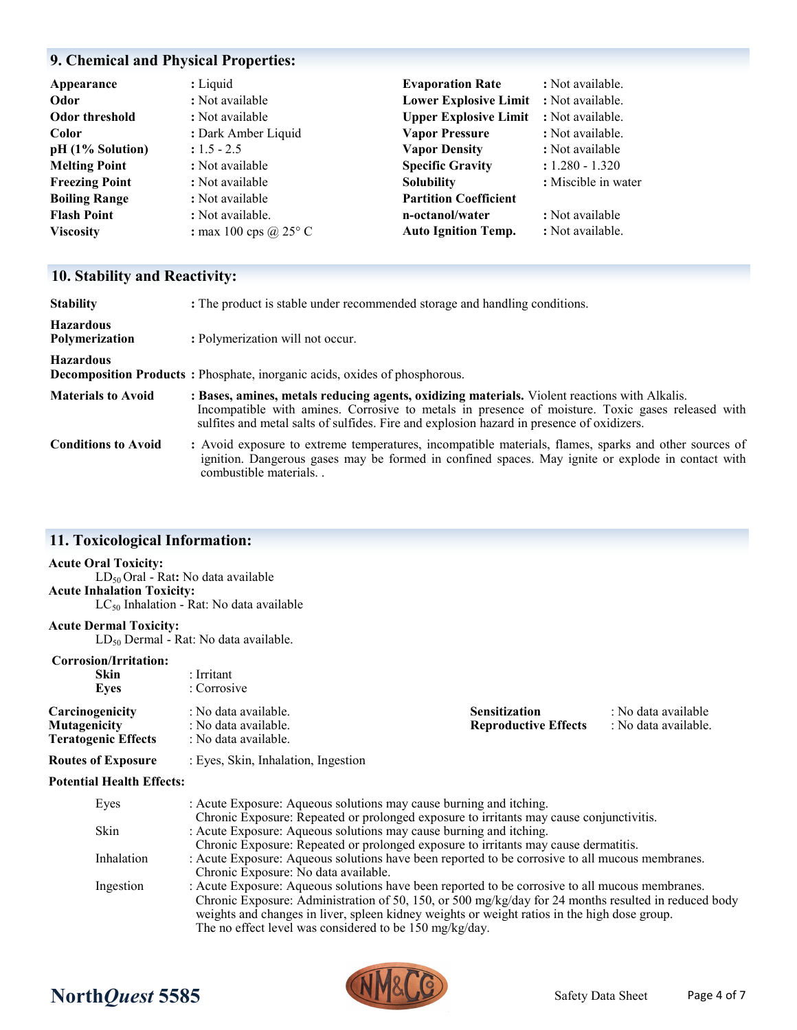# **9. Chemical and Physical Properties:**

| Appearance            | : Liquid                     | <b>Evaporation Rate</b>                | : Not available.    |
|-----------------------|------------------------------|----------------------------------------|---------------------|
| Odor                  | : Not available              | Lower Explosive Limit : Not available. |                     |
| <b>Odor threshold</b> | : Not available              | <b>Upper Explosive Limit</b>           | : Not available.    |
| Color                 | : Dark Amber Liquid          | <b>Vapor Pressure</b>                  | : Not available.    |
| $pH(1%$ Solution)     | $: 1.5 - 2.5$                | <b>Vapor Density</b>                   | : Not available     |
| <b>Melting Point</b>  | : Not available              | <b>Specific Gravity</b>                | $: 1.280 - 1.320$   |
| <b>Freezing Point</b> | : Not available              | <b>Solubility</b>                      | : Miscible in water |
| <b>Boiling Range</b>  | : Not available              | <b>Partition Coefficient</b>           |                     |
| <b>Flash Point</b>    | : Not available.             | n-octanol/water                        | : Not available     |
| <b>Viscosity</b>      | : max 100 cps $\omega$ 25° C | <b>Auto Ignition Temp.</b>             | : Not available.    |

# **10. Stability and Reactivity:**

| <b>Stability</b>                          | : The product is stable under recommended storage and handling conditions.                                                                                                                                                                                                                     |
|-------------------------------------------|------------------------------------------------------------------------------------------------------------------------------------------------------------------------------------------------------------------------------------------------------------------------------------------------|
| <b>Hazardous</b><br><b>Polymerization</b> | : Polymerization will not occur.                                                                                                                                                                                                                                                               |
| <b>Hazardous</b>                          | <b>Decomposition Products:</b> Phosphate, inorganic acids, oxides of phosphorous.                                                                                                                                                                                                              |
| <b>Materials to Avoid</b>                 | : Bases, amines, metals reducing agents, oxidizing materials. Violent reactions with Alkalis.<br>Incompatible with amines. Corrosive to metals in presence of moisture. Toxic gases released with<br>sulfites and metal salts of sulfides. Fire and explosion hazard in presence of oxidizers. |
| <b>Conditions to Avoid</b>                | : Avoid exposure to extreme temperatures, incompatible materials, flames, sparks and other sources of<br>ignition. Dangerous gases may be formed in confined spaces. May ignite or explode in contact with<br>combustible materials                                                            |

### **11. Toxicological Information:**

#### **Acute Oral Toxicity:**

LD50 Oral - Rat**:** No data available **Acute Inhalation Toxicity:** LC<sub>50</sub> Inhalation - Rat: No data available

#### **Acute Dermal Toxicity:**

LD<sub>50</sub> Dermal - Rat: No data available.

### **Corrosion/Irritation:**

| Corrosion/Irritation:<br>Skin<br>Eyes                                | : Irritant<br>: Corrosive                                                                                                                                                                                                                                                                                                                                          |                                                     |                                             |
|----------------------------------------------------------------------|--------------------------------------------------------------------------------------------------------------------------------------------------------------------------------------------------------------------------------------------------------------------------------------------------------------------------------------------------------------------|-----------------------------------------------------|---------------------------------------------|
| Carcinogenicity<br><b>Mutagenicity</b><br><b>Teratogenic Effects</b> | : No data available.<br>: No data available.<br>: No data available.                                                                                                                                                                                                                                                                                               | <b>Sensitization</b><br><b>Reproductive Effects</b> | : No data available<br>: No data available. |
| <b>Routes of Exposure</b>                                            | : Eyes, Skin, Inhalation, Ingestion                                                                                                                                                                                                                                                                                                                                |                                                     |                                             |
| <b>Potential Health Effects:</b>                                     |                                                                                                                                                                                                                                                                                                                                                                    |                                                     |                                             |
| Eyes                                                                 | : Acute Exposure: Aqueous solutions may cause burning and itching.<br>Chronic Exposure: Repeated or prolonged exposure to irritants may cause conjunctivitis.                                                                                                                                                                                                      |                                                     |                                             |
| Skin                                                                 | : Acute Exposure: Aqueous solutions may cause burning and itching.<br>Chronic Exposure: Repeated or prolonged exposure to irritants may cause dermatitis.                                                                                                                                                                                                          |                                                     |                                             |
| Inhalation                                                           | : Acute Exposure: Aqueous solutions have been reported to be corrosive to all mucous membranes.<br>Chronic Exposure: No data available.                                                                                                                                                                                                                            |                                                     |                                             |
| Ingestion                                                            | : Acute Exposure: Aqueous solutions have been reported to be corrosive to all mucous membranes.<br>Chronic Exposure: Administration of 50, 150, or 500 mg/kg/day for 24 months resulted in reduced body<br>weights and changes in liver, spleen kidney weights or weight ratios in the high dose group.<br>The no effect level was considered to be 150 mg/kg/day. |                                                     |                                             |

# **North***Quest* **5585** Safety Data Sheet

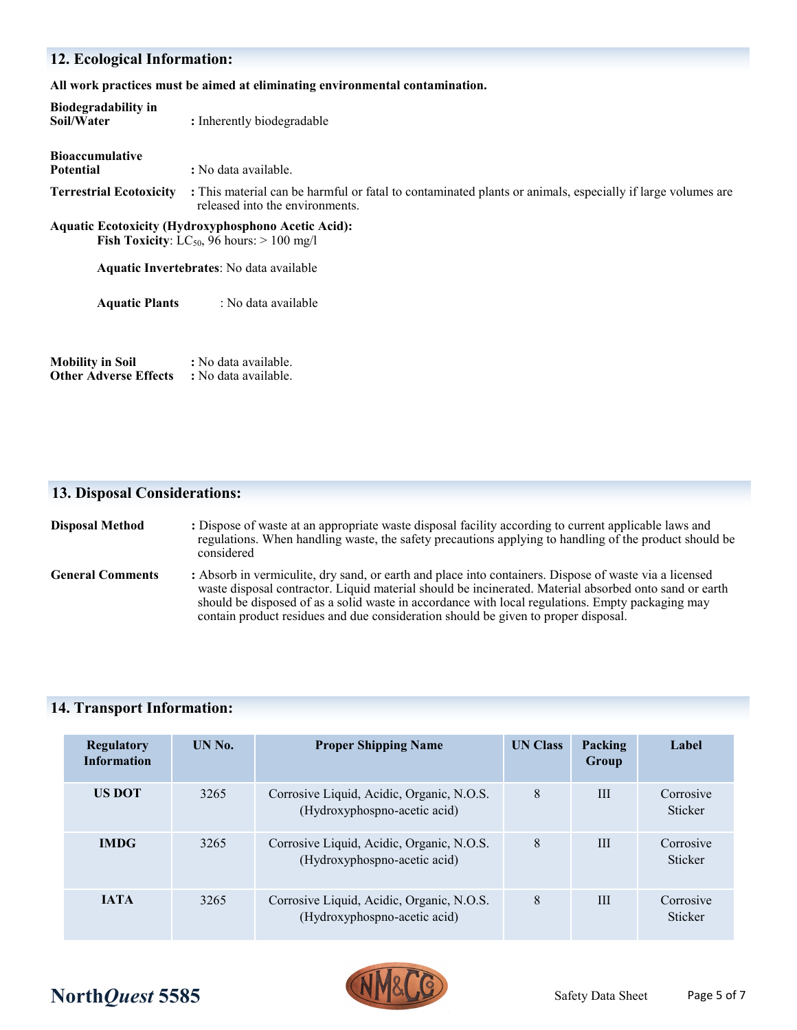# **12. Ecological Information:**

**All work practices must be aimed at eliminating environmental contamination.** 

| <b>Biodegradability in</b><br>Soil/Water                | : Inherently biodegradable                                                                                                                                                |
|---------------------------------------------------------|---------------------------------------------------------------------------------------------------------------------------------------------------------------------------|
| <b>Bioaccumulative</b><br><b>Potential</b>              | : No data available.                                                                                                                                                      |
| <b>Terrestrial Ecotoxicity</b>                          | : This material can be harmful or fatal to contaminated plants or animals, especially if large volumes are<br>released into the environments.                             |
|                                                         | <b>Aquatic Ecotoxicity (Hydroxyphosphono Acetic Acid):</b><br><b>Fish Toxicity:</b> LC <sub>50</sub> , 96 hours: $> 100$ mg/l<br>Aquatic Invertebrates: No data available |
| <b>Aquatic Plants</b>                                   | : No data available                                                                                                                                                       |
| <b>Mobility in Soil</b><br><b>Other Adverse Effects</b> | : No data available.<br>: No data available.                                                                                                                              |

### **13. Disposal Considerations:**

| <b>Disposal Method</b>  | : Dispose of waste at an appropriate waste disposal facility according to current applicable laws and<br>regulations. When handling waste, the safety precautions applying to handling of the product should be<br>considered                                                                                                                                                                              |
|-------------------------|------------------------------------------------------------------------------------------------------------------------------------------------------------------------------------------------------------------------------------------------------------------------------------------------------------------------------------------------------------------------------------------------------------|
| <b>General Comments</b> | : Absorb in vermiculite, dry sand, or earth and place into containers. Dispose of waste via a licensed<br>waste disposal contractor. Liquid material should be incinerated. Material absorbed onto sand or earth<br>should be disposed of as a solid waste in accordance with local regulations. Empty packaging may<br>contain product residues and due consideration should be given to proper disposal. |

### **14. Transport Information:**

| <b>Regulatory</b><br><b>Information</b> | <b>IIN No.</b> | <b>Proper Shipping Name</b>                                               | <b>UN Class</b> | Packing<br>Group | Label                       |
|-----------------------------------------|----------------|---------------------------------------------------------------------------|-----------------|------------------|-----------------------------|
| <b>US DOT</b>                           | 3265           | Corrosive Liquid, Acidic, Organic, N.O.S.<br>(Hydroxyphospno-acetic acid) | 8               | III              | Corrosive<br><b>Sticker</b> |
| <b>IMDG</b>                             | 3265           | Corrosive Liquid, Acidic, Organic, N.O.S.<br>(Hydroxyphospno-acetic acid) | 8               | III              | Corrosive<br>Sticker        |
| <b>IATA</b>                             | 3265           | Corrosive Liquid, Acidic, Organic, N.O.S.<br>(Hydroxyphospno-acetic acid) | 8               | III              | Corrosive<br>Sticker        |

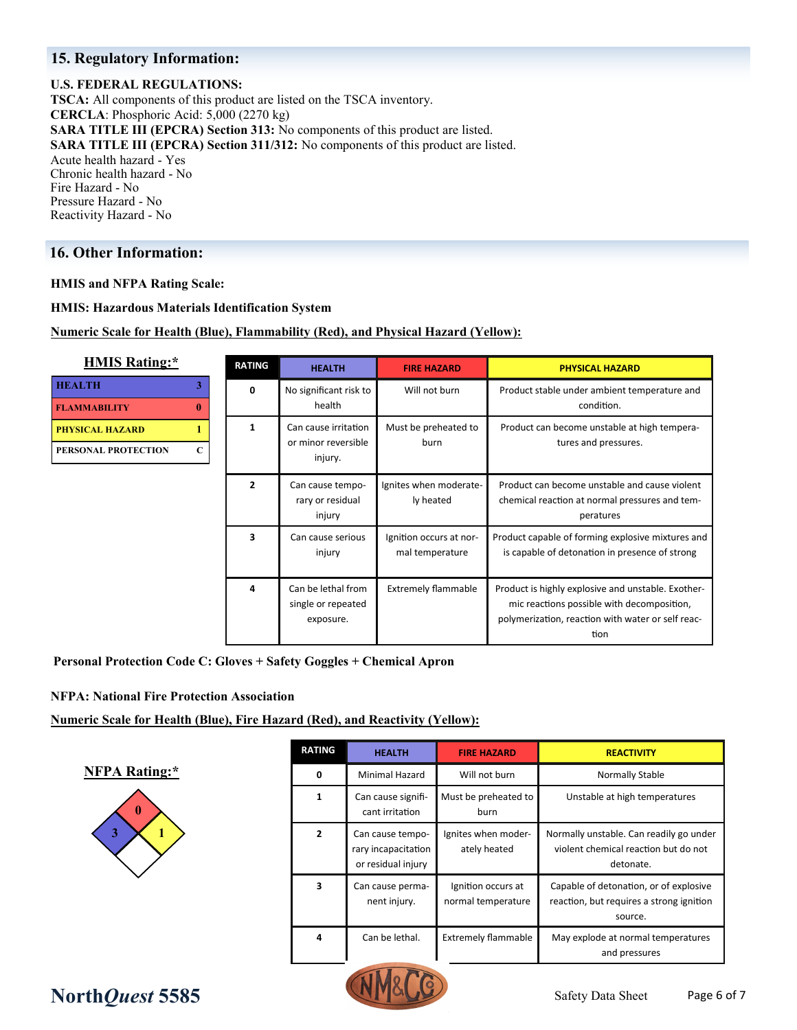### **15. Regulatory Information:**

#### **U.S. FEDERAL REGULATIONS:**

**TSCA:** All components of this product are listed on the TSCA inventory. **CERCLA**: Phosphoric Acid: 5,000 (2270 kg) **SARA TITLE III (EPCRA) Section 313:** No components of this product are listed. **SARA TITLE III (EPCRA) Section 311/312:** No components of this product are listed. Acute health hazard - Yes Chronic health hazard - No Fire Hazard - No Pressure Hazard - No Reactivity Hazard - No

### **16. Other Information:**

**HEALTH 3**

**FLAMMABILITY 0 PHYSICAL HAZARD 1 PERSONAL PROTECT** 

**HMIS and NFPA Rating Scale:**

**HMIS: Hazardous Materials Identification System**

**Numeric Scale for Health (Blue), Flammability (Red), and Physical Hazard (Yellow):**

| <b>HMIS Rating:*</b>                             | <b>RATING</b>  | <b>HEALTH</b>                                          | <b>FIRE HAZARD</b>                         | <b>PHYSICAL HAZARD</b>                                                                                                                                        |  |
|--------------------------------------------------|----------------|--------------------------------------------------------|--------------------------------------------|---------------------------------------------------------------------------------------------------------------------------------------------------------------|--|
| TH<br>3<br><b>MABILITY</b><br>0                  | 0              | No significant risk to<br>health                       | Will not burn                              | Product stable under ambient temperature and<br>condition.                                                                                                    |  |
| <b>CAL HAZARD</b><br><b>DNAL PROTECTION</b><br>C | 1              | Can cause irritation<br>or minor reversible<br>injury. | Must be preheated to<br>burn               | Product can become unstable at high tempera-<br>tures and pressures.                                                                                          |  |
|                                                  | $\overline{2}$ | Can cause tempo-<br>rary or residual<br>injury         | Ignites when moderate-<br>ly heated        | Product can become unstable and cause violent<br>chemical reaction at normal pressures and tem-<br>peratures                                                  |  |
|                                                  | 3              | Can cause serious<br>injury                            | Ignition occurs at nor-<br>mal temperature | Product capable of forming explosive mixtures and<br>is capable of detonation in presence of strong                                                           |  |
|                                                  | 4              | Can be lethal from<br>single or repeated<br>exposure.  | <b>Extremely flammable</b>                 | Product is highly explosive and unstable. Exother-<br>mic reactions possible with decomposition,<br>polymerization, reaction with water or self reac-<br>tion |  |

**Personal Protection Code C: Gloves + Safety Goggles + Chemical Apron**

#### **NFPA: National Fire Protection Association**

#### **Numeric Scale for Health (Blue), Fire Hazard (Red), and Reactivity (Yellow):**

**NFPA Rating:\***



| <b>RATING</b>  | <b>HEALTH</b>                                                 | <b>FIRE HAZARD</b>                       | <b>REACTIVITY</b>                                                                             |
|----------------|---------------------------------------------------------------|------------------------------------------|-----------------------------------------------------------------------------------------------|
| 0              | <b>Minimal Hazard</b>                                         | Will not burn                            | Normally Stable                                                                               |
| $\mathbf{1}$   | Can cause signifi-<br>cant irritation                         | Must be preheated to<br>burn             | Unstable at high temperatures                                                                 |
| $\overline{2}$ | Can cause tempo-<br>rary incapacitation<br>or residual injury | Ignites when moder-<br>ately heated      | Normally unstable. Can readily go under<br>violent chemical reaction but do not<br>detonate.  |
| 3              | Can cause perma-<br>nent injury.                              | Ignition occurs at<br>normal temperature | Capable of detonation, or of explosive<br>reaction, but requires a strong ignition<br>source. |
| 4              | Can be lethal.                                                | <b>Extremely flammable</b>               | May explode at normal temperatures<br>and pressures                                           |